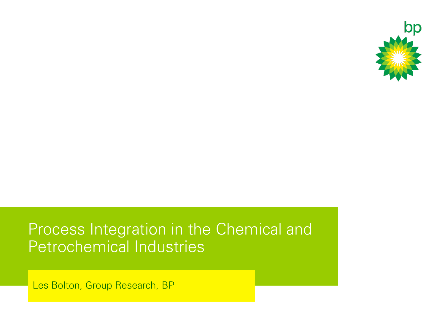

#### Process Integration in the Chemical and Petrochemical Industries

Les Bolton, Group Research, BP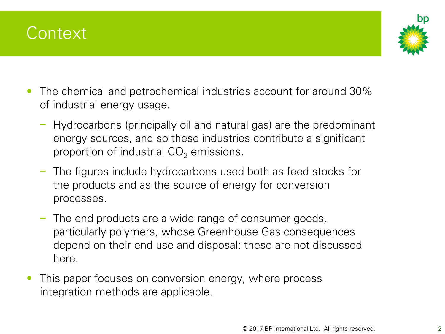



- The chemical and petrochemical industries account for around 30% of industrial energy usage.
	- − Hydrocarbons (principally oil and natural gas) are the predominant energy sources, and so these industries contribute a significant proportion of industrial  $CO<sub>2</sub>$  emissions.
	- − The figures include hydrocarbons used both as feed stocks for the products and as the source of energy for conversion processes.
	- − The end products are a wide range of consumer goods, particularly polymers, whose Greenhouse Gas consequences depend on their end use and disposal: these are not discussed here.
- This paper focuses on conversion energy, where process integration methods are applicable.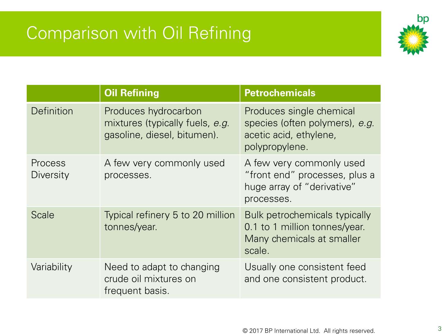# Comparison with Oil Refining



|                                    | <b>Oil Refining</b>                                                                    | <b>Petrochemicals</b>                                                                                  |
|------------------------------------|----------------------------------------------------------------------------------------|--------------------------------------------------------------------------------------------------------|
| Definition                         | Produces hydrocarbon<br>mixtures (typically fuels, e.g.<br>gasoline, diesel, bitumen). | Produces single chemical<br>species (often polymers), e.g.<br>acetic acid, ethylene,<br>polypropylene. |
| <b>Process</b><br><b>Diversity</b> | A few very commonly used<br>processes.                                                 | A few very commonly used<br>"front end" processes, plus a<br>huge array of "derivative"<br>processes.  |
| <b>Scale</b>                       | Typical refinery 5 to 20 million<br>tonnes/year.                                       | Bulk petrochemicals typically<br>0.1 to 1 million tonnes/year.<br>Many chemicals at smaller<br>scale.  |
| Variability                        | Need to adapt to changing<br>crude oil mixtures on<br>frequent basis.                  | Usually one consistent feed<br>and one consistent product.                                             |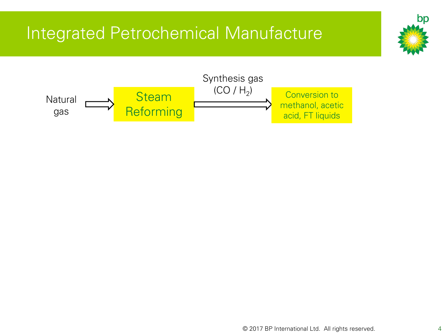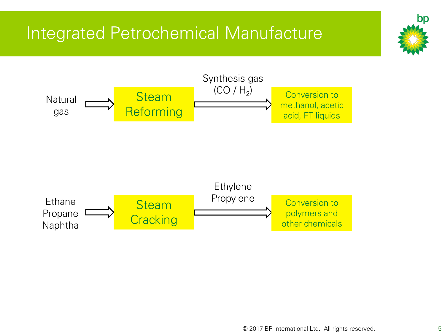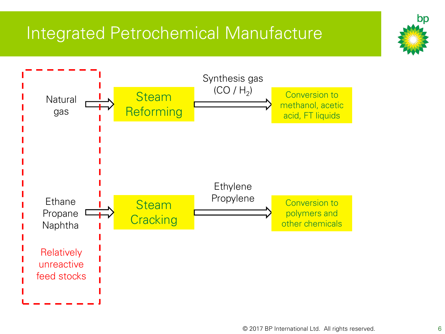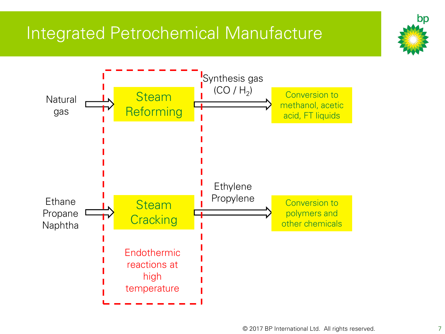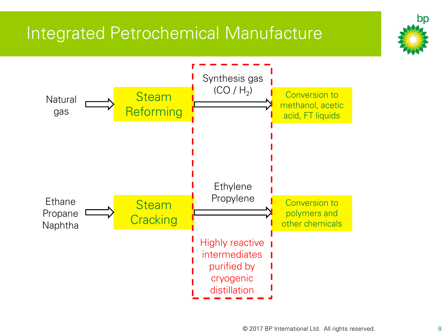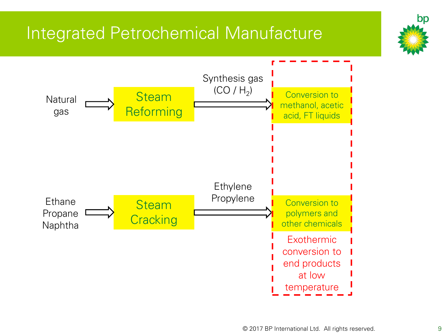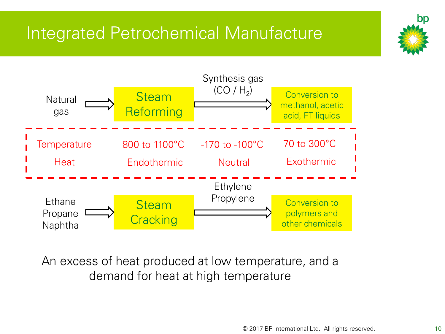

An excess of heat produced at low temperature, and a demand for heat at high temperature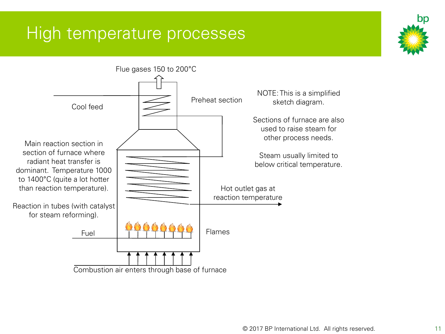

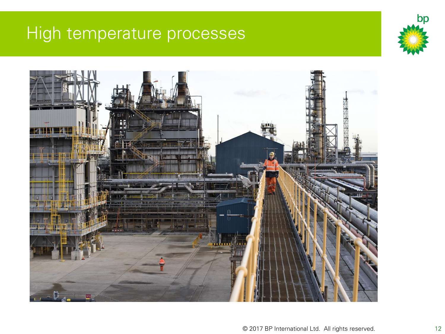

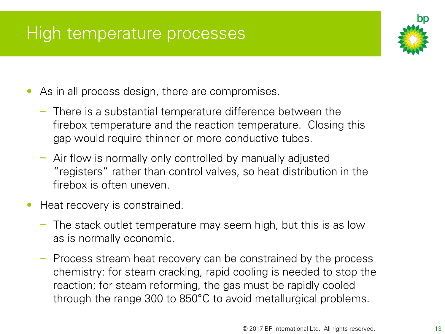

- As in all process design, there are compromises.
	- − There is a substantial temperature difference between the firebox temperature and the reaction temperature. Closing this gap would require thinner or more conductive tubes.
	- − Air flow is normally only controlled by manually adjusted "registers" rather than control valves, so heat distribution in the firebox is often uneven.
- Heat recovery is constrained.
	- − The stack outlet temperature may seem high, but this is as low as is normally economic.
	- − Process stream heat recovery can be constrained by the process chemistry: for steam cracking, rapid cooling is needed to stop the reaction; for steam reforming, the gas must be rapidly cooled through the range 300 to 850°C to avoid metallurgical problems.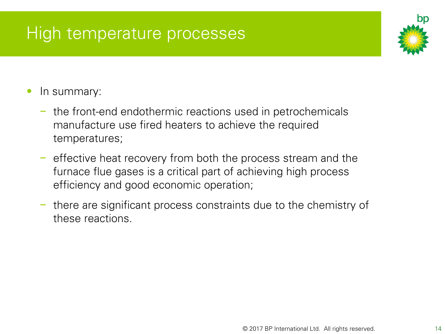

- In summary:
	- − the front-end endothermic reactions used in petrochemicals manufacture use fired heaters to achieve the required temperatures;
	- − effective heat recovery from both the process stream and the furnace flue gases is a critical part of achieving high process efficiency and good economic operation;
	- − there are significant process constraints due to the chemistry of these reactions.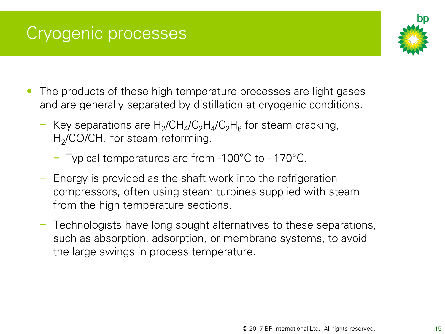### Cryogenic processes



- The products of these high temperature processes are light gases and are generally separated by distillation at cryogenic conditions.
	- − Key separations are H<sub>2</sub>/CH<sub>4</sub>/C<sub>2</sub>H<sub>4</sub>/C<sub>2</sub>H<sub>6</sub> for steam cracking,  $\rm H_2$ /CO/C $\rm H_4$  for steam reforming.
		- − Typical temperatures are from -100°C to 170°C.
	- − Energy is provided as the shaft work into the refrigeration compressors, often using steam turbines supplied with steam from the high temperature sections.
	- − Technologists have long sought alternatives to these separations, such as absorption, adsorption, or membrane systems, to avoid the large swings in process temperature.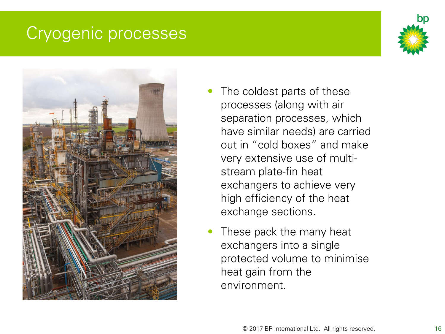#### Cryogenic processes





- The coldest parts of these processes (along with air separation processes, which have similar needs) are carried out in "cold boxes" and make very extensive use of multistream plate-fin heat exchangers to achieve very high efficiency of the heat exchange sections.
- These pack the many heat exchangers into a single protected volume to minimise heat gain from the environment.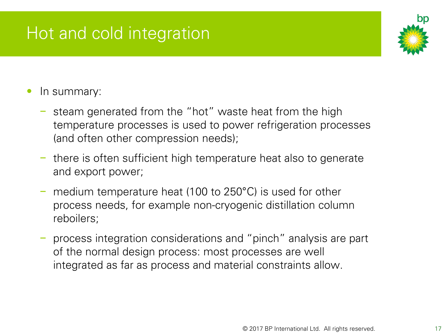# Hot and cold integration



- In summary:
	- − steam generated from the "hot" waste heat from the high temperature processes is used to power refrigeration processes (and often other compression needs);
	- − there is often sufficient high temperature heat also to generate and export power;
	- medium temperature heat (100 to 250°C) is used for other process needs, for example non-cryogenic distillation column reboilers;
	- − process integration considerations and "pinch" analysis are part of the normal design process: most processes are well integrated as far as process and material constraints allow.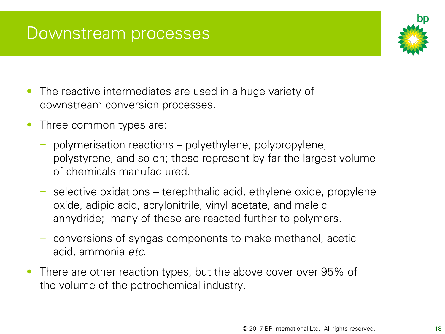#### Downstream processes

- The reactive intermediates are used in a huge variety of downstream conversion processes.
- Three common types are:
	- − polymerisation reactions polyethylene, polypropylene, polystyrene, and so on; these represent by far the largest volume of chemicals manufactured.
	- − selective oxidations terephthalic acid, ethylene oxide, propylene oxide, adipic acid, acrylonitrile, vinyl acetate, and maleic anhydride; many of these are reacted further to polymers.
	- − conversions of syngas components to make methanol, acetic acid, ammonia *etc*.
- There are other reaction types, but the above cover over 95% of the volume of the petrochemical industry.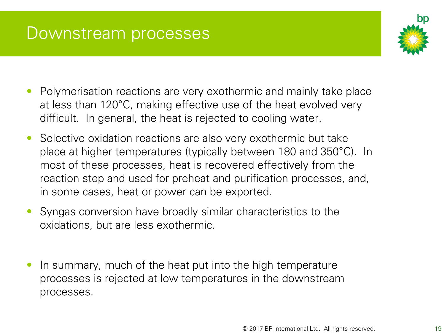#### Downstream processes



- Polymerisation reactions are very exothermic and mainly take place at less than 120°C, making effective use of the heat evolved very difficult. In general, the heat is rejected to cooling water.
- Selective oxidation reactions are also very exothermic but take place at higher temperatures (typically between 180 and 350°C). In most of these processes, heat is recovered effectively from the reaction step and used for preheat and purification processes, and, in some cases, heat or power can be exported.
- Syngas conversion have broadly similar characteristics to the oxidations, but are less exothermic.
- In summary, much of the heat put into the high temperature processes is rejected at low temperatures in the downstream processes.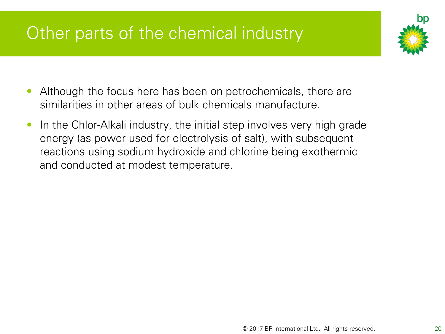# Other parts of the chemical industry



- Although the focus here has been on petrochemicals, there are similarities in other areas of bulk chemicals manufacture.
- In the Chlor-Alkali industry, the initial step involves very high grade energy (as power used for electrolysis of salt), with subsequent reactions using sodium hydroxide and chlorine being exothermic and conducted at modest temperature.